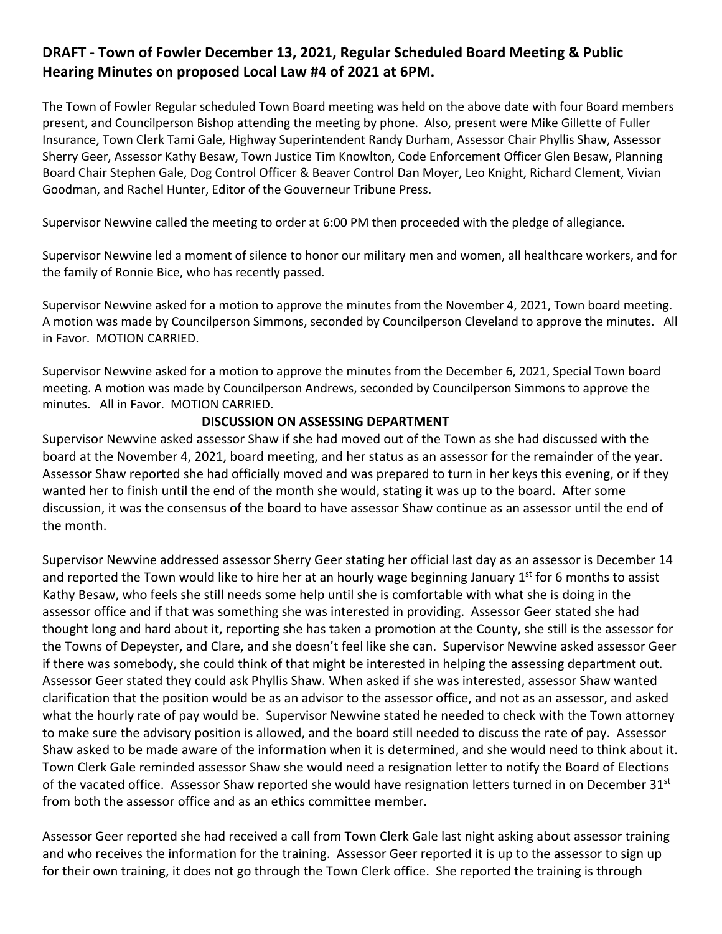# **DRAFT - Town of Fowler December 13, 2021, Regular Scheduled Board Meeting & Public Hearing Minutes on proposed Local Law #4 of 2021 at 6PM.**

The Town of Fowler Regular scheduled Town Board meeting was held on the above date with four Board members present, and Councilperson Bishop attending the meeting by phone. Also, present were Mike Gillette of Fuller Insurance, Town Clerk Tami Gale, Highway Superintendent Randy Durham, Assessor Chair Phyllis Shaw, Assessor Sherry Geer, Assessor Kathy Besaw, Town Justice Tim Knowlton, Code Enforcement Officer Glen Besaw, Planning Board Chair Stephen Gale, Dog Control Officer & Beaver Control Dan Moyer, Leo Knight, Richard Clement, Vivian Goodman, and Rachel Hunter, Editor of the Gouverneur Tribune Press.

Supervisor Newvine called the meeting to order at 6:00 PM then proceeded with the pledge of allegiance.

Supervisor Newvine led a moment of silence to honor our military men and women, all healthcare workers, and for the family of Ronnie Bice, who has recently passed.

Supervisor Newvine asked for a motion to approve the minutes from the November 4, 2021, Town board meeting. A motion was made by Councilperson Simmons, seconded by Councilperson Cleveland to approve the minutes. All in Favor. MOTION CARRIED.

Supervisor Newvine asked for a motion to approve the minutes from the December 6, 2021, Special Town board meeting. A motion was made by Councilperson Andrews, seconded by Councilperson Simmons to approve the minutes. All in Favor. MOTION CARRIED.

### **DISCUSSION ON ASSESSING DEPARTMENT**

Supervisor Newvine asked assessor Shaw if she had moved out of the Town as she had discussed with the board at the November 4, 2021, board meeting, and her status as an assessor for the remainder of the year. Assessor Shaw reported she had officially moved and was prepared to turn in her keys this evening, or if they wanted her to finish until the end of the month she would, stating it was up to the board. After some discussion, it was the consensus of the board to have assessor Shaw continue as an assessor until the end of the month.

Supervisor Newvine addressed assessor Sherry Geer stating her official last day as an assessor is December 14 and reported the Town would like to hire her at an hourly wage beginning January 1<sup>st</sup> for 6 months to assist Kathy Besaw, who feels she still needs some help until she is comfortable with what she is doing in the assessor office and if that was something she was interested in providing. Assessor Geer stated she had thought long and hard about it, reporting she has taken a promotion at the County, she still is the assessor for the Towns of Depeyster, and Clare, and she doesn't feel like she can. Supervisor Newvine asked assessor Geer if there was somebody, she could think of that might be interested in helping the assessing department out. Assessor Geer stated they could ask Phyllis Shaw. When asked if she was interested, assessor Shaw wanted clarification that the position would be as an advisor to the assessor office, and not as an assessor, and asked what the hourly rate of pay would be. Supervisor Newvine stated he needed to check with the Town attorney to make sure the advisory position is allowed, and the board still needed to discuss the rate of pay. Assessor Shaw asked to be made aware of the information when it is determined, and she would need to think about it. Town Clerk Gale reminded assessor Shaw she would need a resignation letter to notify the Board of Elections of the vacated office. Assessor Shaw reported she would have resignation letters turned in on December 31st from both the assessor office and as an ethics committee member.

Assessor Geer reported she had received a call from Town Clerk Gale last night asking about assessor training and who receives the information for the training. Assessor Geer reported it is up to the assessor to sign up for their own training, it does not go through the Town Clerk office. She reported the training is through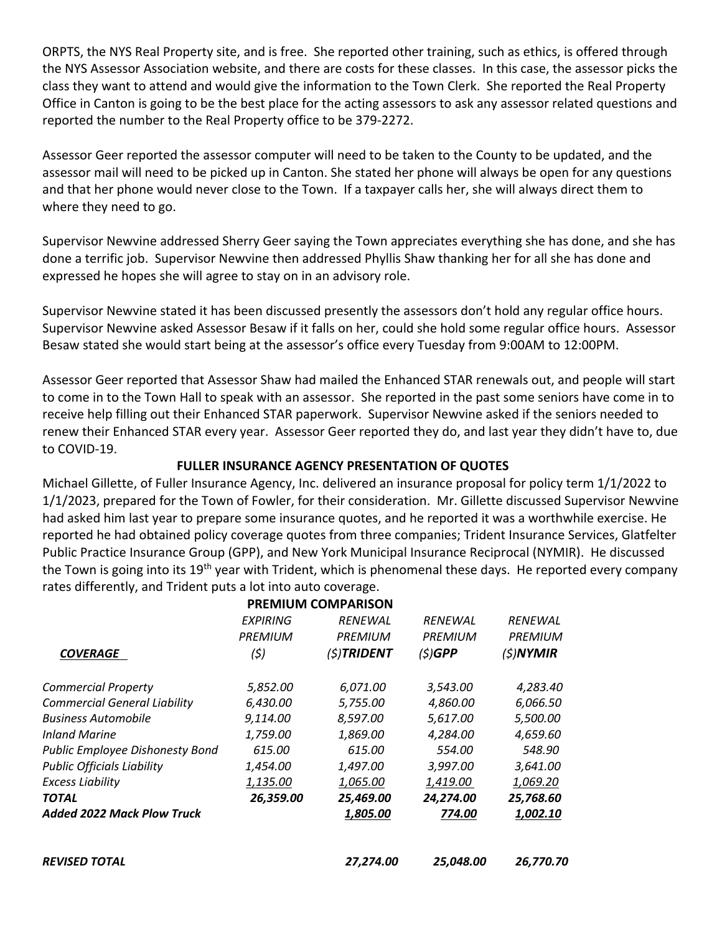ORPTS, the NYS Real Property site, and is free. She reported other training, such as ethics, is offered through the NYS Assessor Association website, and there are costs for these classes. In this case, the assessor picks the class they want to attend and would give the information to the Town Clerk. She reported the Real Property Office in Canton is going to be the best place for the acting assessors to ask any assessor related questions and reported the number to the Real Property office to be 379-2272.

Assessor Geer reported the assessor computer will need to be taken to the County to be updated, and the assessor mail will need to be picked up in Canton. She stated her phone will always be open for any questions and that her phone would never close to the Town. If a taxpayer calls her, she will always direct them to where they need to go.

Supervisor Newvine addressed Sherry Geer saying the Town appreciates everything she has done, and she has done a terrific job. Supervisor Newvine then addressed Phyllis Shaw thanking her for all she has done and expressed he hopes she will agree to stay on in an advisory role.

Supervisor Newvine stated it has been discussed presently the assessors don't hold any regular office hours. Supervisor Newvine asked Assessor Besaw if it falls on her, could she hold some regular office hours. Assessor Besaw stated she would start being at the assessor's office every Tuesday from 9:00AM to 12:00PM.

Assessor Geer reported that Assessor Shaw had mailed the Enhanced STAR renewals out, and people will start to come in to the Town Hall to speak with an assessor. She reported in the past some seniors have come in to receive help filling out their Enhanced STAR paperwork. Supervisor Newvine asked if the seniors needed to renew their Enhanced STAR every year. Assessor Geer reported they do, and last year they didn't have to, due to COVID-19.

### **FULLER INSURANCE AGENCY PRESENTATION OF QUOTES**

Michael Gillette, of Fuller Insurance Agency, Inc. delivered an insurance proposal for policy term 1/1/2022 to 1/1/2023, prepared for the Town of Fowler, for their consideration. Mr. Gillette discussed Supervisor Newvine had asked him last year to prepare some insurance quotes, and he reported it was a worthwhile exercise. He reported he had obtained policy coverage quotes from three companies; Trident Insurance Services, Glatfelter Public Practice Insurance Group (GPP), and New York Municipal Insurance Reciprocal (NYMIR). He discussed the Town is going into its 19<sup>th</sup> year with Trident, which is phenomenal these days. He reported every company rates differently, and Trident puts a lot into auto coverage.

|                                     |                | <b>PREMIUM COMPARISON</b> |                |                |
|-------------------------------------|----------------|---------------------------|----------------|----------------|
|                                     | EXPIRING       | <b>RENEWAL</b>            | <b>RENEWAL</b> | <b>RENEWAL</b> |
|                                     | <b>PREMIUM</b> | <b>PREMIUM</b>            | <b>PREMIUM</b> | <b>PREMIUM</b> |
| <b>COVERAGE</b>                     | (\$)           | $(5)$ TRIDENT             | $(5)$ GPP      | $(5)$ NYMIR    |
| <b>Commercial Property</b>          | 5,852.00       | 6,071.00                  | 3,543.00       | 4,283.40       |
| <b>Commercial General Liability</b> | 6,430.00       | 5,755.00                  | 4,860.00       | 6,066.50       |
| <b>Business Automobile</b>          | 9,114.00       | 8,597.00                  | 5,617.00       | 5,500.00       |
| Inland Marine                       | 1,759.00       | 1,869.00                  | 4,284.00       | 4,659.60       |
| Public Employee Dishonesty Bond     | 615.00         | 615.00                    | 554.00         | 548.90         |
| <b>Public Officials Liability</b>   | 1,454.00       | 1,497.00                  | 3,997.00       | 3,641.00       |
| <b>Excess Liability</b>             | 1,135.00       | 1,065.00                  | 1,419.00       | 1,069.20       |
| <b>TOTAL</b>                        | 26,359.00      | 25,469.00                 | 24,274.00      | 25,768.60      |
| <b>Added 2022 Mack Plow Truck</b>   |                | 1,805.00                  | 774.00         | 1,002.10       |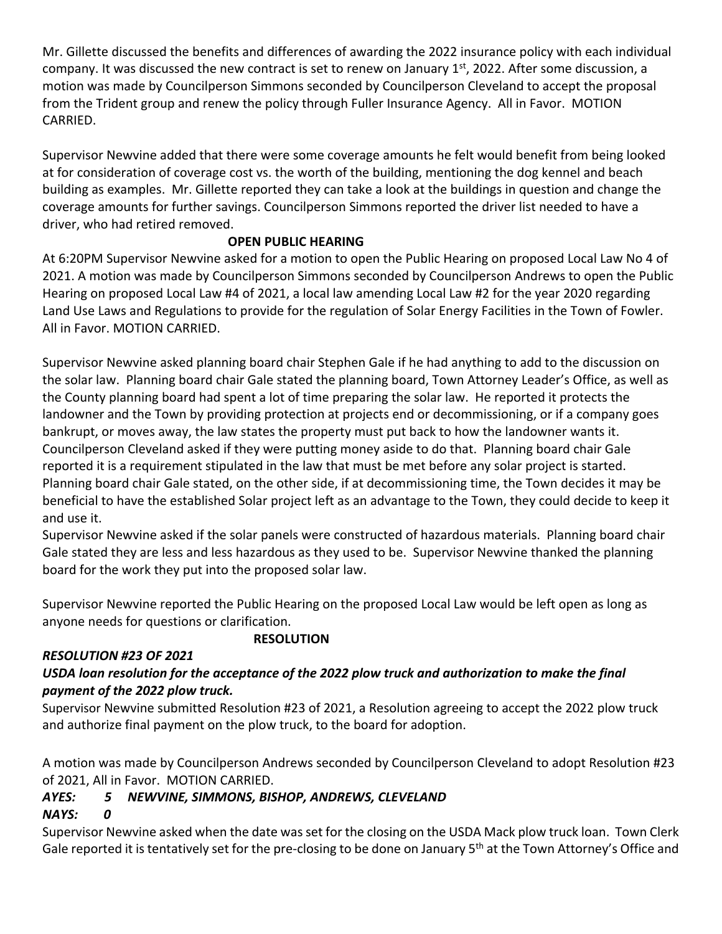Mr. Gillette discussed the benefits and differences of awarding the 2022 insurance policy with each individual company. It was discussed the new contract is set to renew on January 1<sup>st</sup>, 2022. After some discussion, a motion was made by Councilperson Simmons seconded by Councilperson Cleveland to accept the proposal from the Trident group and renew the policy through Fuller Insurance Agency. All in Favor. MOTION CARRIED.

Supervisor Newvine added that there were some coverage amounts he felt would benefit from being looked at for consideration of coverage cost vs. the worth of the building, mentioning the dog kennel and beach building as examples. Mr. Gillette reported they can take a look at the buildings in question and change the coverage amounts for further savings. Councilperson Simmons reported the driver list needed to have a driver, who had retired removed.

## **OPEN PUBLIC HEARING**

At 6:20PM Supervisor Newvine asked for a motion to open the Public Hearing on proposed Local Law No 4 of 2021. A motion was made by Councilperson Simmons seconded by Councilperson Andrews to open the Public Hearing on proposed Local Law #4 of 2021, a local law amending Local Law #2 for the year 2020 regarding Land Use Laws and Regulations to provide for the regulation of Solar Energy Facilities in the Town of Fowler. All in Favor. MOTION CARRIED.

Supervisor Newvine asked planning board chair Stephen Gale if he had anything to add to the discussion on the solar law. Planning board chair Gale stated the planning board, Town Attorney Leader's Office, as well as the County planning board had spent a lot of time preparing the solar law. He reported it protects the landowner and the Town by providing protection at projects end or decommissioning, or if a company goes bankrupt, or moves away, the law states the property must put back to how the landowner wants it. Councilperson Cleveland asked if they were putting money aside to do that. Planning board chair Gale reported it is a requirement stipulated in the law that must be met before any solar project is started. Planning board chair Gale stated, on the other side, if at decommissioning time, the Town decides it may be beneficial to have the established Solar project left as an advantage to the Town, they could decide to keep it and use it.

Supervisor Newvine asked if the solar panels were constructed of hazardous materials. Planning board chair Gale stated they are less and less hazardous as they used to be. Supervisor Newvine thanked the planning board for the work they put into the proposed solar law.

Supervisor Newvine reported the Public Hearing on the proposed Local Law would be left open as long as anyone needs for questions or clarification.

### **RESOLUTION**

### *RESOLUTION #23 OF 2021*

## *USDA loan resolution for the acceptance of the 2022 plow truck and authorization to make the final payment of the 2022 plow truck.*

Supervisor Newvine submitted Resolution #23 of 2021, a Resolution agreeing to accept the 2022 plow truck and authorize final payment on the plow truck, to the board for adoption.

A motion was made by Councilperson Andrews seconded by Councilperson Cleveland to adopt Resolution #23 of 2021, All in Favor. MOTION CARRIED.

# *AYES: 5 NEWVINE, SIMMONS, BISHOP, ANDREWS, CLEVELAND*

# *NAYS: 0*

Supervisor Newvine asked when the date was set for the closing on the USDA Mack plow truck loan. Town Clerk Gale reported it is tentatively set for the pre-closing to be done on January 5<sup>th</sup> at the Town Attorney's Office and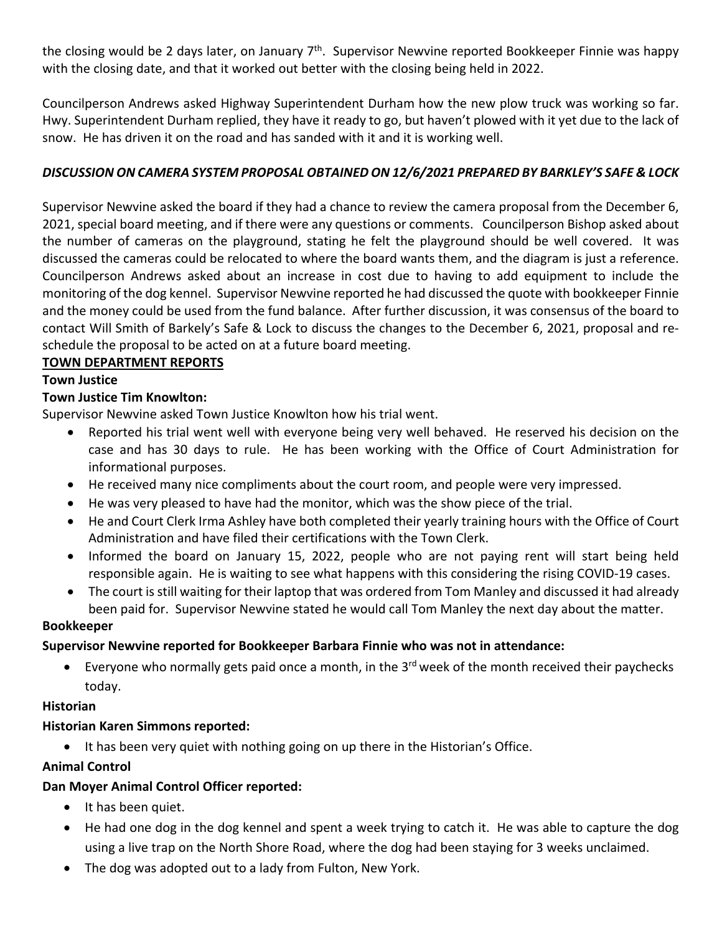the closing would be 2 days later, on January  $7<sup>th</sup>$ . Supervisor Newvine reported Bookkeeper Finnie was happy with the closing date, and that it worked out better with the closing being held in 2022.

Councilperson Andrews asked Highway Superintendent Durham how the new plow truck was working so far. Hwy. Superintendent Durham replied, they have it ready to go, but haven't plowed with it yet due to the lack of snow. He has driven it on the road and has sanded with it and it is working well.

## *DISCUSSION ON CAMERA SYSTEM PROPOSAL OBTAINED ON 12/6/2021 PREPARED BY BARKLEY'S SAFE & LOCK*

Supervisor Newvine asked the board if they had a chance to review the camera proposal from the December 6, 2021, special board meeting, and if there were any questions or comments. Councilperson Bishop asked about the number of cameras on the playground, stating he felt the playground should be well covered. It was discussed the cameras could be relocated to where the board wants them, and the diagram is just a reference. Councilperson Andrews asked about an increase in cost due to having to add equipment to include the monitoring of the dog kennel. Supervisor Newvine reported he had discussed the quote with bookkeeper Finnie and the money could be used from the fund balance. After further discussion, it was consensus of the board to contact Will Smith of Barkely's Safe & Lock to discuss the changes to the December 6, 2021, proposal and reschedule the proposal to be acted on at a future board meeting.

### **TOWN DEPARTMENT REPORTS**

### **Town Justice**

### **Town Justice Tim Knowlton:**

Supervisor Newvine asked Town Justice Knowlton how his trial went.

- Reported his trial went well with everyone being very well behaved. He reserved his decision on the case and has 30 days to rule. He has been working with the Office of Court Administration for informational purposes.
- He received many nice compliments about the court room, and people were very impressed.
- He was very pleased to have had the monitor, which was the show piece of the trial.
- He and Court Clerk Irma Ashley have both completed their yearly training hours with the Office of Court Administration and have filed their certifications with the Town Clerk.
- Informed the board on January 15, 2022, people who are not paying rent will start being held responsible again. He is waiting to see what happens with this considering the rising COVID-19 cases.
- The court is still waiting for their laptop that was ordered from Tom Manley and discussed it had already been paid for. Supervisor Newvine stated he would call Tom Manley the next day about the matter.

#### **Bookkeeper**

### **Supervisor Newvine reported for Bookkeeper Barbara Finnie who was not in attendance:**

• Everyone who normally gets paid once a month, in the  $3<sup>rd</sup>$  week of the month received their paychecks today.

### **Historian**

### **Historian Karen Simmons reported:**

• It has been very quiet with nothing going on up there in the Historian's Office.

### **Animal Control**

### **Dan Moyer Animal Control Officer reported:**

- It has been quiet.
- He had one dog in the dog kennel and spent a week trying to catch it. He was able to capture the dog using a live trap on the North Shore Road, where the dog had been staying for 3 weeks unclaimed.
- The dog was adopted out to a lady from Fulton, New York.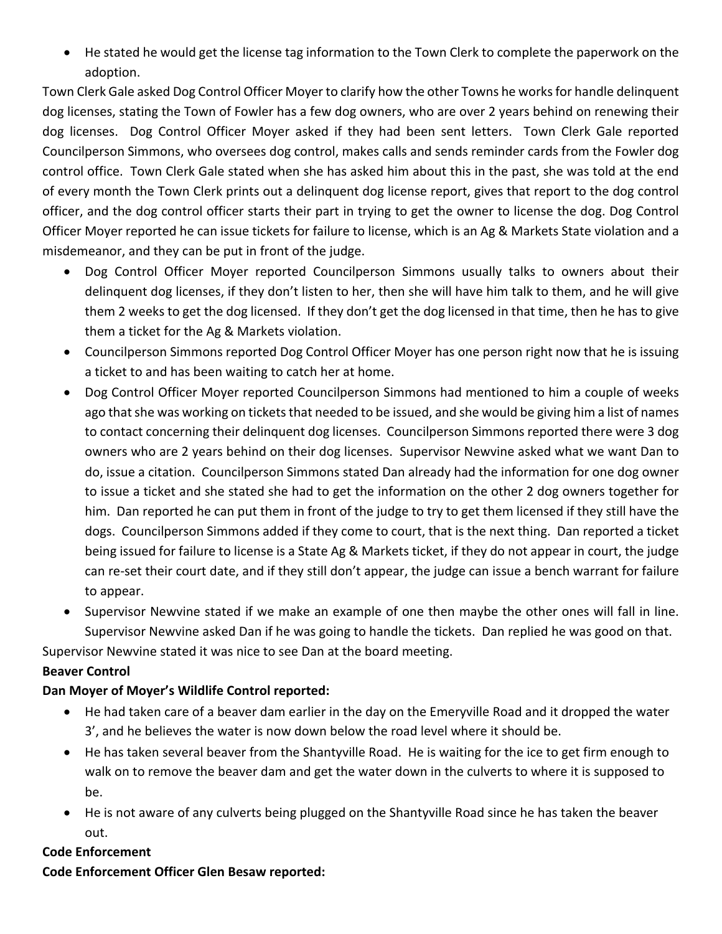• He stated he would get the license tag information to the Town Clerk to complete the paperwork on the adoption.

Town Clerk Gale asked Dog Control Officer Moyer to clarify how the other Towns he works for handle delinquent dog licenses, stating the Town of Fowler has a few dog owners, who are over 2 years behind on renewing their dog licenses. Dog Control Officer Moyer asked if they had been sent letters. Town Clerk Gale reported Councilperson Simmons, who oversees dog control, makes calls and sends reminder cards from the Fowler dog control office. Town Clerk Gale stated when she has asked him about this in the past, she was told at the end of every month the Town Clerk prints out a delinquent dog license report, gives that report to the dog control officer, and the dog control officer starts their part in trying to get the owner to license the dog. Dog Control Officer Moyer reported he can issue tickets for failure to license, which is an Ag & Markets State violation and a misdemeanor, and they can be put in front of the judge.

- Dog Control Officer Moyer reported Councilperson Simmons usually talks to owners about their delinquent dog licenses, if they don't listen to her, then she will have him talk to them, and he will give them 2 weeks to get the dog licensed. If they don't get the dog licensed in that time, then he has to give them a ticket for the Ag & Markets violation.
- Councilperson Simmons reported Dog Control Officer Moyer has one person right now that he is issuing a ticket to and has been waiting to catch her at home.
- Dog Control Officer Moyer reported Councilperson Simmons had mentioned to him a couple of weeks ago that she was working on tickets that needed to be issued, and she would be giving him a list of names to contact concerning their delinquent dog licenses. Councilperson Simmons reported there were 3 dog owners who are 2 years behind on their dog licenses. Supervisor Newvine asked what we want Dan to do, issue a citation. Councilperson Simmons stated Dan already had the information for one dog owner to issue a ticket and she stated she had to get the information on the other 2 dog owners together for him. Dan reported he can put them in front of the judge to try to get them licensed if they still have the dogs. Councilperson Simmons added if they come to court, that is the next thing. Dan reported a ticket being issued for failure to license is a State Ag & Markets ticket, if they do not appear in court, the judge can re-set their court date, and if they still don't appear, the judge can issue a bench warrant for failure to appear.
- Supervisor Newvine stated if we make an example of one then maybe the other ones will fall in line. Supervisor Newvine asked Dan if he was going to handle the tickets. Dan replied he was good on that.

Supervisor Newvine stated it was nice to see Dan at the board meeting.

## **Beaver Control**

## **Dan Moyer of Moyer's Wildlife Control reported:**

- He had taken care of a beaver dam earlier in the day on the Emeryville Road and it dropped the water 3', and he believes the water is now down below the road level where it should be.
- He has taken several beaver from the Shantyville Road. He is waiting for the ice to get firm enough to walk on to remove the beaver dam and get the water down in the culverts to where it is supposed to be.
- He is not aware of any culverts being plugged on the Shantyville Road since he has taken the beaver out.

## **Code Enforcement**

**Code Enforcement Officer Glen Besaw reported:**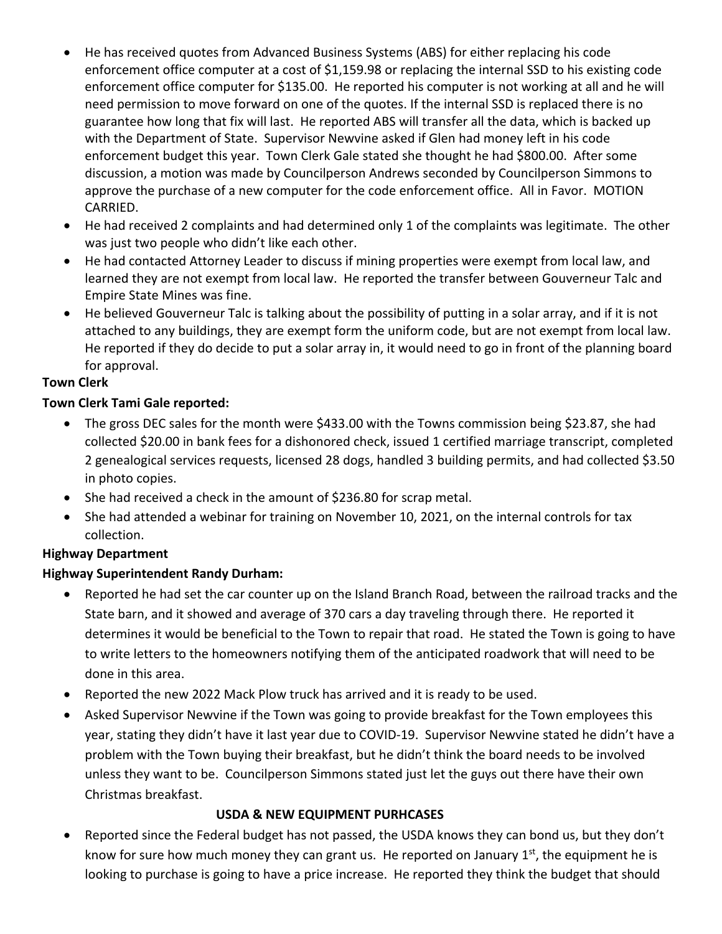- He has received quotes from Advanced Business Systems (ABS) for either replacing his code enforcement office computer at a cost of \$1,159.98 or replacing the internal SSD to his existing code enforcement office computer for \$135.00. He reported his computer is not working at all and he will need permission to move forward on one of the quotes. If the internal SSD is replaced there is no guarantee how long that fix will last. He reported ABS will transfer all the data, which is backed up with the Department of State. Supervisor Newvine asked if Glen had money left in his code enforcement budget this year. Town Clerk Gale stated she thought he had \$800.00. After some discussion, a motion was made by Councilperson Andrews seconded by Councilperson Simmons to approve the purchase of a new computer for the code enforcement office. All in Favor. MOTION CARRIED.
- He had received 2 complaints and had determined only 1 of the complaints was legitimate. The other was just two people who didn't like each other.
- He had contacted Attorney Leader to discuss if mining properties were exempt from local law, and learned they are not exempt from local law. He reported the transfer between Gouverneur Talc and Empire State Mines was fine.
- He believed Gouverneur Talc is talking about the possibility of putting in a solar array, and if it is not attached to any buildings, they are exempt form the uniform code, but are not exempt from local law. He reported if they do decide to put a solar array in, it would need to go in front of the planning board for approval.

### **Town Clerk**

### **Town Clerk Tami Gale reported:**

- The gross DEC sales for the month were \$433.00 with the Towns commission being \$23.87, she had collected \$20.00 in bank fees for a dishonored check, issued 1 certified marriage transcript, completed 2 genealogical services requests, licensed 28 dogs, handled 3 building permits, and had collected \$3.50 in photo copies.
- She had received a check in the amount of \$236.80 for scrap metal.
- She had attended a webinar for training on November 10, 2021, on the internal controls for tax collection.

### **Highway Department**

### **Highway Superintendent Randy Durham:**

- Reported he had set the car counter up on the Island Branch Road, between the railroad tracks and the State barn, and it showed and average of 370 cars a day traveling through there. He reported it determines it would be beneficial to the Town to repair that road. He stated the Town is going to have to write letters to the homeowners notifying them of the anticipated roadwork that will need to be done in this area.
- Reported the new 2022 Mack Plow truck has arrived and it is ready to be used.
- Asked Supervisor Newvine if the Town was going to provide breakfast for the Town employees this year, stating they didn't have it last year due to COVID-19. Supervisor Newvine stated he didn't have a problem with the Town buying their breakfast, but he didn't think the board needs to be involved unless they want to be. Councilperson Simmons stated just let the guys out there have their own Christmas breakfast.

### **USDA & NEW EQUIPMENT PURHCASES**

• Reported since the Federal budget has not passed, the USDA knows they can bond us, but they don't know for sure how much money they can grant us. He reported on January  $1<sup>st</sup>$ , the equipment he is looking to purchase is going to have a price increase. He reported they think the budget that should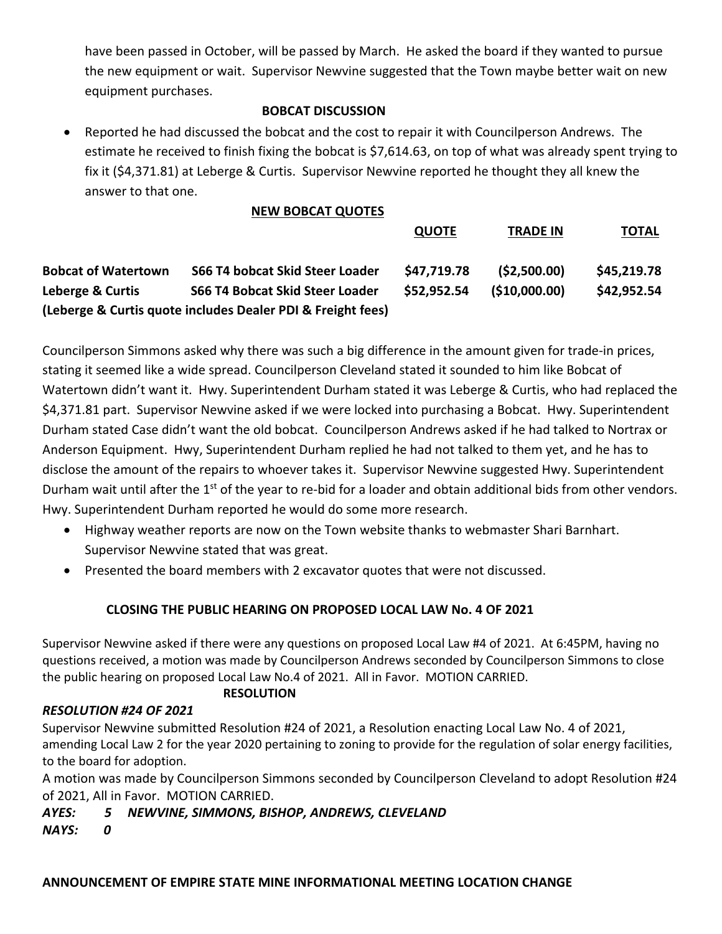have been passed in October, will be passed by March. He asked the board if they wanted to pursue the new equipment or wait. Supervisor Newvine suggested that the Town maybe better wait on new equipment purchases.

### **BOBCAT DISCUSSION**

• Reported he had discussed the bobcat and the cost to repair it with Councilperson Andrews. The estimate he received to finish fixing the bobcat is \$7,614.63, on top of what was already spent trying to fix it (\$4,371.81) at Leberge & Curtis. Supervisor Newvine reported he thought they all knew the answer to that one.

## **NEW BOBCAT QUOTES**

|                            |                                                             | <b>QUOTE</b> | <b>TRADE IN</b> | <b>TOTAL</b> |
|----------------------------|-------------------------------------------------------------|--------------|-----------------|--------------|
| <b>Bobcat of Watertown</b> | S66 T4 bobcat Skid Steer Loader                             | \$47,719.78  | (52,500.00)     | \$45,219.78  |
| Leberge & Curtis           | S66 T4 Bobcat Skid Steer Loader                             | \$52,952.54  | ( \$10,000.00)  | \$42,952.54  |
|                            | (Leberge & Curtis quote includes Dealer PDI & Freight fees) |              |                 |              |

Councilperson Simmons asked why there was such a big difference in the amount given for trade-in prices, stating it seemed like a wide spread. Councilperson Cleveland stated it sounded to him like Bobcat of Watertown didn't want it. Hwy. Superintendent Durham stated it was Leberge & Curtis, who had replaced the \$4,371.81 part. Supervisor Newvine asked if we were locked into purchasing a Bobcat. Hwy. Superintendent Durham stated Case didn't want the old bobcat. Councilperson Andrews asked if he had talked to Nortrax or Anderson Equipment. Hwy, Superintendent Durham replied he had not talked to them yet, and he has to disclose the amount of the repairs to whoever takes it. Supervisor Newvine suggested Hwy. Superintendent Durham wait until after the  $1<sup>st</sup>$  of the year to re-bid for a loader and obtain additional bids from other vendors. Hwy. Superintendent Durham reported he would do some more research.

- Highway weather reports are now on the Town website thanks to webmaster Shari Barnhart. Supervisor Newvine stated that was great.
- Presented the board members with 2 excavator quotes that were not discussed.

## **CLOSING THE PUBLIC HEARING ON PROPOSED LOCAL LAW No. 4 OF 2021**

Supervisor Newvine asked if there were any questions on proposed Local Law #4 of 2021. At 6:45PM, having no questions received, a motion was made by Councilperson Andrews seconded by Councilperson Simmons to close the public hearing on proposed Local Law No.4 of 2021. All in Favor. MOTION CARRIED.

#### **RESOLUTION**

### *RESOLUTION #24 OF 2021*

Supervisor Newvine submitted Resolution #24 of 2021, a Resolution enacting Local Law No. 4 of 2021, amending Local Law 2 for the year 2020 pertaining to zoning to provide for the regulation of solar energy facilities, to the board for adoption.

A motion was made by Councilperson Simmons seconded by Councilperson Cleveland to adopt Resolution #24 of 2021, All in Favor. MOTION CARRIED.

### *AYES: 5 NEWVINE, SIMMONS, BISHOP, ANDREWS, CLEVELAND NAYS: 0*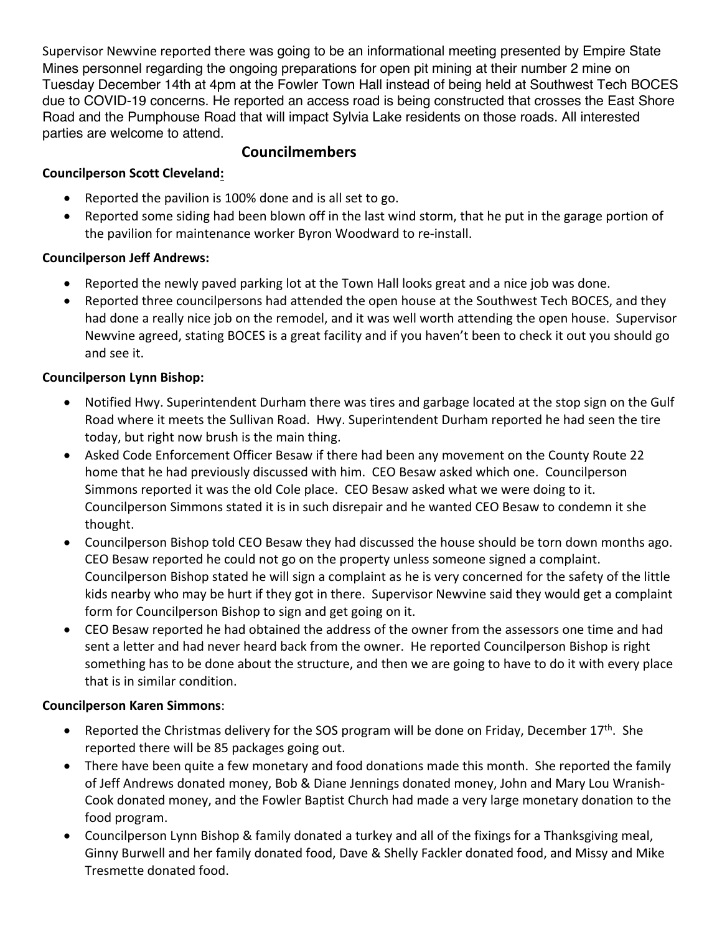Supervisor Newvine reported there was going to be an informational meeting presented by Empire State Mines personnel regarding the ongoing preparations for open pit mining at their number 2 mine on Tuesday December 14th at 4pm at the Fowler Town Hall instead of being held at Southwest Tech BOCES due to COVID-19 concerns. He reported an access road is being constructed that crosses the East Shore Road and the Pumphouse Road that will impact Sylvia Lake residents on those roads. All interested parties are welcome to attend.

# **Councilmembers**

## **Councilperson Scott Cleveland:**

- Reported the pavilion is 100% done and is all set to go.
- Reported some siding had been blown off in the last wind storm, that he put in the garage portion of the pavilion for maintenance worker Byron Woodward to re-install.

## **Councilperson Jeff Andrews:**

- Reported the newly paved parking lot at the Town Hall looks great and a nice job was done.
- Reported three councilpersons had attended the open house at the Southwest Tech BOCES, and they had done a really nice job on the remodel, and it was well worth attending the open house. Supervisor Newvine agreed, stating BOCES is a great facility and if you haven't been to check it out you should go and see it.

## **Councilperson Lynn Bishop:**

- Notified Hwy. Superintendent Durham there was tires and garbage located at the stop sign on the Gulf Road where it meets the Sullivan Road. Hwy. Superintendent Durham reported he had seen the tire today, but right now brush is the main thing.
- Asked Code Enforcement Officer Besaw if there had been any movement on the County Route 22 home that he had previously discussed with him. CEO Besaw asked which one. Councilperson Simmons reported it was the old Cole place. CEO Besaw asked what we were doing to it. Councilperson Simmons stated it is in such disrepair and he wanted CEO Besaw to condemn it she thought.
- Councilperson Bishop told CEO Besaw they had discussed the house should be torn down months ago. CEO Besaw reported he could not go on the property unless someone signed a complaint. Councilperson Bishop stated he will sign a complaint as he is very concerned for the safety of the little kids nearby who may be hurt if they got in there. Supervisor Newvine said they would get a complaint form for Councilperson Bishop to sign and get going on it.
- CEO Besaw reported he had obtained the address of the owner from the assessors one time and had sent a letter and had never heard back from the owner. He reported Councilperson Bishop is right something has to be done about the structure, and then we are going to have to do it with every place that is in similar condition.

## **Councilperson Karen Simmons**:

- Reported the Christmas delivery for the SOS program will be done on Friday, December  $17<sup>th</sup>$ . She reported there will be 85 packages going out.
- There have been quite a few monetary and food donations made this month. She reported the family of Jeff Andrews donated money, Bob & Diane Jennings donated money, John and Mary Lou Wranish-Cook donated money, and the Fowler Baptist Church had made a very large monetary donation to the food program.
- Councilperson Lynn Bishop & family donated a turkey and all of the fixings for a Thanksgiving meal, Ginny Burwell and her family donated food, Dave & Shelly Fackler donated food, and Missy and Mike Tresmette donated food.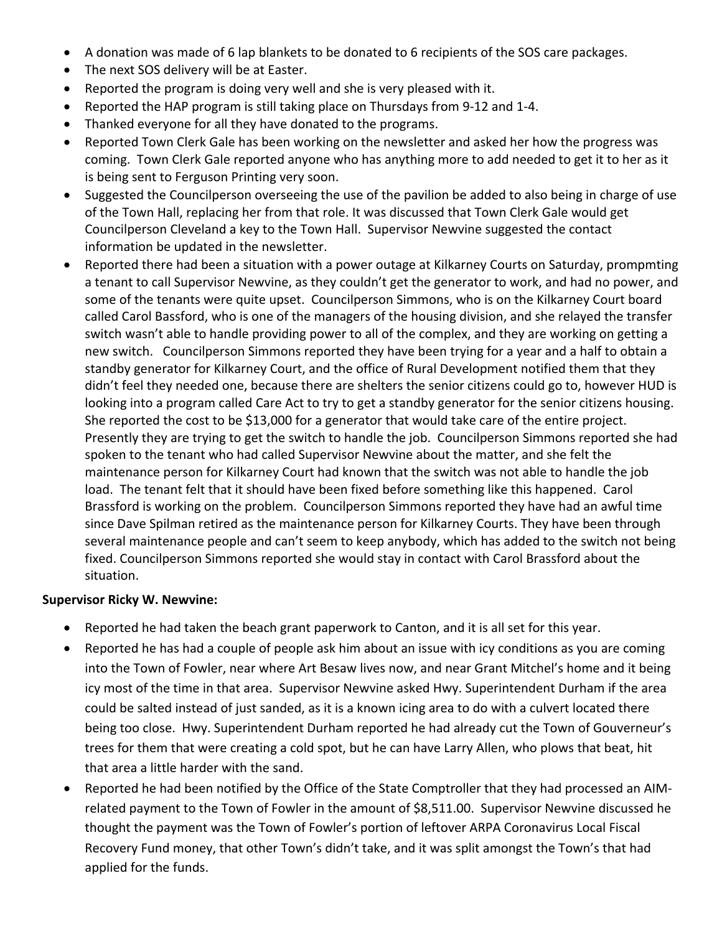- A donation was made of 6 lap blankets to be donated to 6 recipients of the SOS care packages.
- The next SOS delivery will be at Easter.
- Reported the program is doing very well and she is very pleased with it.
- Reported the HAP program is still taking place on Thursdays from 9-12 and 1-4.
- Thanked everyone for all they have donated to the programs.
- Reported Town Clerk Gale has been working on the newsletter and asked her how the progress was coming. Town Clerk Gale reported anyone who has anything more to add needed to get it to her as it is being sent to Ferguson Printing very soon.
- Suggested the Councilperson overseeing the use of the pavilion be added to also being in charge of use of the Town Hall, replacing her from that role. It was discussed that Town Clerk Gale would get Councilperson Cleveland a key to the Town Hall. Supervisor Newvine suggested the contact information be updated in the newsletter.
- Reported there had been a situation with a power outage at Kilkarney Courts on Saturday, prompmting a tenant to call Supervisor Newvine, as they couldn't get the generator to work, and had no power, and some of the tenants were quite upset. Councilperson Simmons, who is on the Kilkarney Court board called Carol Bassford, who is one of the managers of the housing division, and she relayed the transfer switch wasn't able to handle providing power to all of the complex, and they are working on getting a new switch. Councilperson Simmons reported they have been trying for a year and a half to obtain a standby generator for Kilkarney Court, and the office of Rural Development notified them that they didn't feel they needed one, because there are shelters the senior citizens could go to, however HUD is looking into a program called Care Act to try to get a standby generator for the senior citizens housing. She reported the cost to be \$13,000 for a generator that would take care of the entire project. Presently they are trying to get the switch to handle the job. Councilperson Simmons reported she had spoken to the tenant who had called Supervisor Newvine about the matter, and she felt the maintenance person for Kilkarney Court had known that the switch was not able to handle the job load. The tenant felt that it should have been fixed before something like this happened. Carol Brassford is working on the problem. Councilperson Simmons reported they have had an awful time since Dave Spilman retired as the maintenance person for Kilkarney Courts. They have been through several maintenance people and can't seem to keep anybody, which has added to the switch not being fixed. Councilperson Simmons reported she would stay in contact with Carol Brassford about the situation.

### **Supervisor Ricky W. Newvine:**

- Reported he had taken the beach grant paperwork to Canton, and it is all set for this year.
- Reported he has had a couple of people ask him about an issue with icy conditions as you are coming into the Town of Fowler, near where Art Besaw lives now, and near Grant Mitchel's home and it being icy most of the time in that area. Supervisor Newvine asked Hwy. Superintendent Durham if the area could be salted instead of just sanded, as it is a known icing area to do with a culvert located there being too close. Hwy. Superintendent Durham reported he had already cut the Town of Gouverneur's trees for them that were creating a cold spot, but he can have Larry Allen, who plows that beat, hit that area a little harder with the sand.
- Reported he had been notified by the Office of the State Comptroller that they had processed an AIMrelated payment to the Town of Fowler in the amount of \$8,511.00. Supervisor Newvine discussed he thought the payment was the Town of Fowler's portion of leftover ARPA Coronavirus Local Fiscal Recovery Fund money, that other Town's didn't take, and it was split amongst the Town's that had applied for the funds.